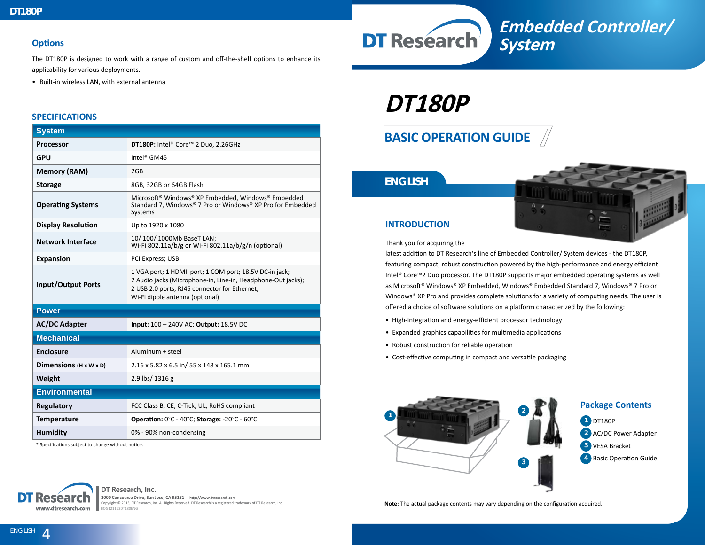#### **Options**

The DT180P is designed to work with a range of custom and off-the-shelf options to enhance its applicability for various deployments.

• Built-in wireless LAN, with external antenna

#### **SPECIFICATIONS**

| <b>System</b>                      |                                                                                                                                                                                                            |
|------------------------------------|------------------------------------------------------------------------------------------------------------------------------------------------------------------------------------------------------------|
| <b>Processor</b>                   | DT180P: Intel® Core™ 2 Duo, 2.26GHz                                                                                                                                                                        |
| <b>GPU</b>                         | Intel <sup>®</sup> GM45                                                                                                                                                                                    |
| <b>Memory (RAM)</b>                | 2GB                                                                                                                                                                                                        |
| <b>Storage</b>                     | 8GB, 32GB or 64GB Flash                                                                                                                                                                                    |
| <b>Operating Systems</b>           | Microsoft® Windows® XP Embedded, Windows® Embedded<br>Standard 7, Windows® 7 Pro or Windows® XP Pro for Embedded<br>Systems                                                                                |
| <b>Display Resolution</b>          | Up to 1920 x 1080                                                                                                                                                                                          |
| <b>Network Interface</b>           | 10/ 100/ 1000Mb BaseT LAN;<br>Wi-Fi 802.11a/b/g or Wi-Fi 802.11a/b/g/n (optional)                                                                                                                          |
| <b>Expansion</b>                   | PCI Express; USB                                                                                                                                                                                           |
| <b>Input/Output Ports</b>          | 1 VGA port; 1 HDMI port; 1 COM port; 18.5V DC-in jack;<br>2 Audio jacks (Microphone-in, Line-in, Headphone-Out jacks);<br>2 USB 2.0 ports; RJ45 connector for Ethernet;<br>Wi-Fi dipole antenna (optional) |
| <b>Power</b>                       |                                                                                                                                                                                                            |
| <b>AC/DC Adapter</b>               | Input: 100 - 240V AC; Output: 18.5V DC                                                                                                                                                                     |
| <b>Mechanical</b>                  |                                                                                                                                                                                                            |
| <b>Enclosure</b>                   | Aluminum + steel                                                                                                                                                                                           |
| Dimensions $(H \times W \times D)$ | 2.16 x 5.82 x 6.5 in/ 55 x 148 x 165.1 mm                                                                                                                                                                  |
| Weight                             | 2.9 lbs/ 1316 g                                                                                                                                                                                            |
| <b>Environmental</b>               |                                                                                                                                                                                                            |
| <b>Regulatory</b>                  | FCC Class B, CE, C-Tick, UL, RoHS compliant                                                                                                                                                                |
| <b>Temperature</b>                 | Operation: 0°C - 40°C; Storage: -20°C - 60°C                                                                                                                                                               |
| <b>Humidity</b>                    | 0% - 90% non-condensing                                                                                                                                                                                    |

\* Specifications subject to change without notice.



# **BASIC OPERATION GUIDE**

## *ENGLISH*



**Embedded Controller/** 

### **INTRODUCTION**

**DT Research** 

Thank you for acquiring the

latest addition to DT Research's line of Embedded Controller/ System devices - the DT180P, featuring compact, robust construction powered by the high-performance and energy efficient Intel® Core™2 Duo processor. The DT180P supports major embedded operating systems as well as Microsoft® Windows® XP Embedded, Windows® Embedded Standard 7, Windows® 7 Pro or Windows® XP Pro and provides complete solutions for a variety of computing needs. The user is offered a choice of software solutions on a platform characterized by the following:

**System**

- High-integration and energy-efficient processor technology
- Expanded graphics capabilities for multimedia applications
- Robust construction for reliable operation
- Cost-effective computing in compact and versatile packaging





**2000 Concourse Drive, San Jose, CA 95131 http://www.dtresearch.com** Copyright © 2013, DT Research, Inc. All Rights Reserved. DT Research is a registered trademark of DT Research, Inc. BOG121113DT180ENG

**Note:** The actual package contents may vary depending on the configuration acquired.